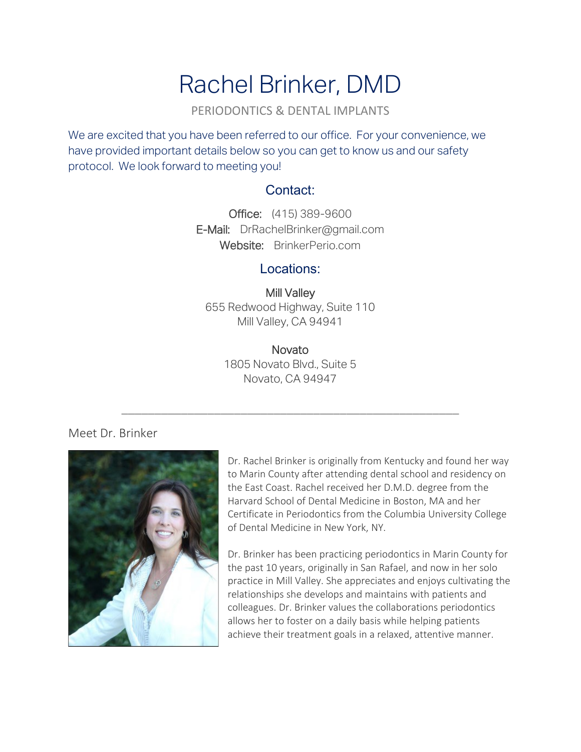# Rachel Brinker, DMD

PERIODONTICS & DENTAL IMPLANTS

We are excited that you have been referred to our office. For your convenience, we have provided important details below so you can get to know us and our safety protocol. We look forward to meeting you!

## Contact:

Office: (415) 389-9600 E-Mail: [DrRachelBrinker@gmail.com](mailto:DrRachelBrinker@gmail.com) Website: BrinkerPerio.com

#### Locations:

Mill Valley 655 Redwood Highway, Suite 110 Mill Valley, CA 94941

> **Novato** 1805 Novato Blvd., Suite 5 Novato, CA 94947

\_\_\_\_\_\_\_\_\_\_\_\_\_\_\_\_\_\_\_\_\_\_\_\_\_\_\_\_\_\_\_\_\_\_\_\_\_\_\_\_\_\_\_\_\_\_\_\_\_\_\_

#### Meet Dr. Brinker



Dr. Rachel Brinker is originally from Kentucky and found her way to Marin County after attending dental school and residency on the East Coast. Rachel received her D.M.D. degree from the Harvard School of Dental Medicine in Boston, MA and her Certificate in Periodontics from the Columbia University College of Dental Medicine in New York, NY.

Dr. Brinker has been practicing periodontics in Marin County for the past 10 years, originally in San Rafael, and now in her solo practice in Mill Valley. She appreciates and enjoys cultivating the relationships she develops and maintains with patients and colleagues. Dr. Brinker values the collaborations periodontics allows her to foster on a daily basis while helping patients achieve their treatment goals in a relaxed, attentive manner.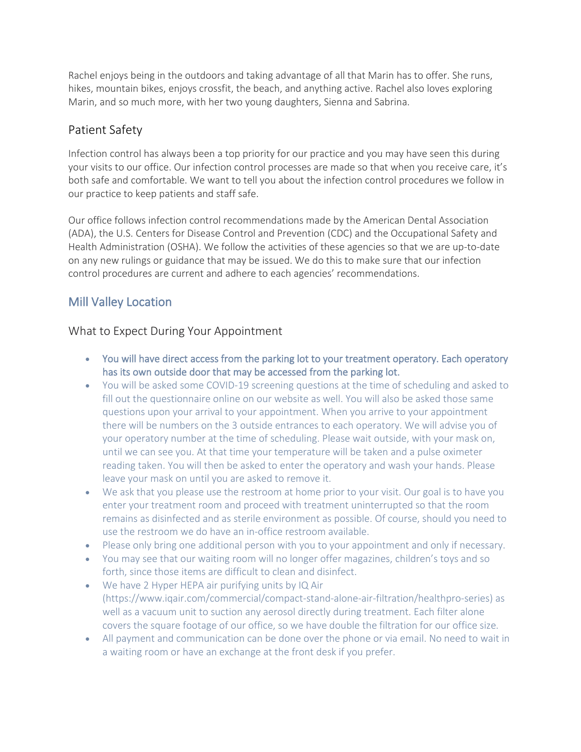Rachel enjoys being in the outdoors and taking advantage of all that Marin has to offer. She runs, hikes, mountain bikes, enjoys crossfit, the beach, and anything active. Rachel also loves exploring Marin, and so much more, with her two young daughters, Sienna and Sabrina.

## Patient Safety

Infection control has always been a top priority for our practice and you may have seen this during your visits to our office. Our infection control processes are made so that when you receive care, it's both safe and comfortable. We want to tell you about the infection control procedures we follow in our practice to keep patients and staff safe.

Our office follows infection control recommendations made by the American Dental Association (ADA), the U.S. Centers for Disease Control and Prevention (CDC) and the Occupational Safety and Health Administration (OSHA). We follow the activities of these agencies so that we are up-to-date on any new rulings or guidance that may be issued. We do this to make sure that our infection control procedures are current and adhere to each agencies' recommendations.

# Mill Valley Location

#### What to Expect During Your Appointment

- You will have direct access from the parking lot to your treatment operatory. Each operatory has its own outside door that may be accessed from the parking lot.
- You will be asked some COVID-19 screening questions at the time of scheduling and asked to fill out the questionnaire online on our website as well. You will also be asked those same questions upon your arrival to your appointment. When you arrive to your appointment there will be numbers on the 3 outside entrances to each operatory. We will advise you of your operatory number at the time of scheduling. Please wait outside, with your mask on, until we can see you. At that time your temperature will be taken and a pulse oximeter reading taken. You will then be asked to enter the operatory and wash your hands. Please leave your mask on until you are asked to remove it.
- We ask that you please use the restroom at home prior to your visit. Our goal is to have you enter your treatment room and proceed with treatment uninterrupted so that the room remains as disinfected and as sterile environment as possible. Of course, should you need to use the restroom we do have an in-office restroom available.
- Please only bring one additional person with you to your appointment and only if necessary.
- You may see that our waiting room will no longer offer magazines, children's toys and so forth, since those items are difficult to clean and disinfect.
- We have 2 Hyper HEPA air purifying units by IQ Air (https://www.iqair.com/commercial/compact-stand-alone-air-filtration/healthpro-series) as well as a vacuum unit to suction any aerosol directly during treatment. Each filter alone covers the square footage of our office, so we have double the filtration for our office size.
- All payment and communication can be done over the phone or via email. No need to wait in a waiting room or have an exchange at the front desk if you prefer.